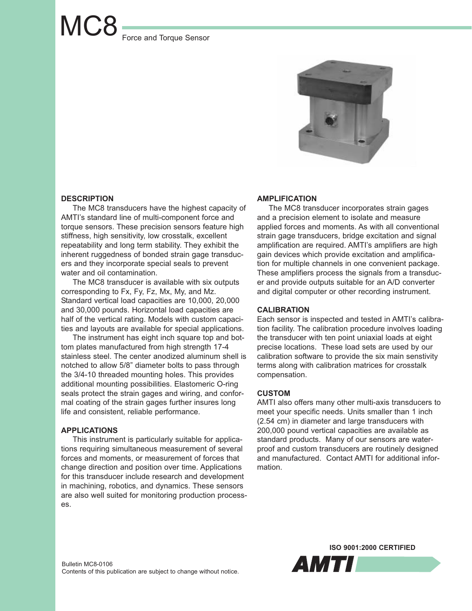# MC8 Force and Torque Sensor



## **DESCRIPTION**

The MC8 transducers have the highest capacity of AMTI's standard line of multi-component force and torque sensors. These precision sensors feature high stiffness, high sensitivity, low crosstalk, excellent repeatability and long term stability. They exhibit the inherent ruggedness of bonded strain gage transducers and they incorporate special seals to prevent water and oil contamination.

The MC8 transducer is available with six outputs corresponding to Fx, Fy, Fz, Mx, My, and Mz. Standard vertical load capacities are 10,000, 20,000 and 30,000 pounds. Horizontal load capacities are half of the vertical rating. Models with custom capacities and layouts are available for special applications.

The instrument has eight inch square top and bottom plates manufactured from high strength 17-4 stainless steel. The center anodized aluminum shell is notched to allow 5/8" diameter bolts to pass through the 3/4-10 threaded mounting holes. This provides additional mounting possibilities. Elastomeric O-ring seals protect the strain gages and wiring, and conformal coating of the strain gages further insures long life and consistent, reliable performance.

# **APPLICATIONS**

This instrument is particularly suitable for applications requiring simultaneous measurement of several forces and moments, or measurement of forces that change direction and position over time. Applications for this transducer include research and development in machining, robotics, and dynamics. These sensors are also well suited for monitoring production processes.

### **AMPLIFICATION**

The MC8 transducer incorporates strain gages and a precision element to isolate and measure applied forces and moments. As with all conventional strain gage transducers, bridge excitation and signal amplification are required. AMTI's amplifiers are high gain devices which provide excitation and amplification for multiple channels in one convenient package. These amplifiers process the signals from a transducer and provide outputs suitable for an A/D converter and digital computer or other recording instrument.

## **CALIBRATION**

Each sensor is inspected and tested in AMTI's calibration facility. The calibration procedure involves loading the transducer with ten point uniaxial loads at eight precise locations. These load sets are used by our calibration software to provide the six main senstivity terms along with calibration matrices for crosstalk compensation.

#### **CUSTOM**

AMTI also offers many other multi-axis transducers to meet your specific needs. Units smaller than 1 inch (2.54 cm) in diameter and large transducers with 200,000 pound vertical capacities are available as standard products. Many of our sensors are waterproof and custom transducers are routinely designed and manufactured. Contact AMTI for additional information.

**ISO 9001:2000 CERTIFIED**

*AMTI*